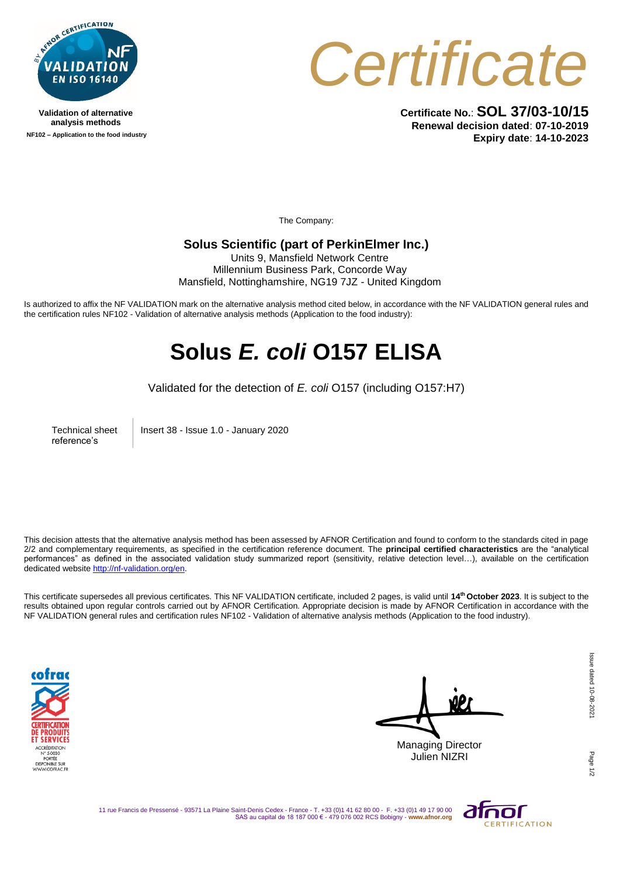

**Validation of alternative analysis methods NF102 – Application to the food industry**



**Certificate No.**: **SOL 37/03-10/15 Renewal decision dated**: **07-10-2019 Expiry date**: **14-10-2023**

The Company:

## **Solus Scientific (part of PerkinElmer Inc.)**

Units 9, Mansfield Network Centre Millennium Business Park, Concorde Way Mansfield, Nottinghamshire, NG19 7JZ - United Kingdom

Is authorized to affix the NF VALIDATION mark on the alternative analysis method cited below, in accordance with the NF VALIDATION general rules and the certification rules NF102 - Validation of alternative analysis methods (Application to the food industry):

## **Solus** *E. coli* **O157 ELISA**

Validated for the detection of *E. coli* O157 (including O157:H7)

Technical sheet reference's

Insert 38 - Issue 1.0 - January 2020

This decision attests that the alternative analysis method has been assessed by AFNOR Certification and found to conform to the standards cited in page 2/2 and complementary requirements, as specified in the certification reference document. The **principal certified characteristics** are the "analytical performances" as defined in the associated validation study summarized report (sensitivity, relative detection level…), available on the certification dedicated websit[e http://nf-validation.org/en.](http://nf-validation.org/en)

This certificate supersedes all previous certificates. This NF VALIDATION certificate, included 2 pages, is valid until **14 th October 2023**. It is subject to the results obtained upon regular controls carried out by AFNOR Certification. Appropriate decision is made by AFNOR Certification in accordance with the NF VALIDATION general rules and certification rules NF102 - Validation of alternative analysis methods (Application to the food industry).



Managing Director Julien NIZRI

11 rue Francis de Pressensé - 93571 La Plaine Saint-Denis Cedex - France - T. +33 (0)1 41 62 80 00 - F. +33 (0)1 49 17 90 00 SAS au capital de 18 187 000 € - 479 076 002 RCS Bobigny - **www.afnor.org**